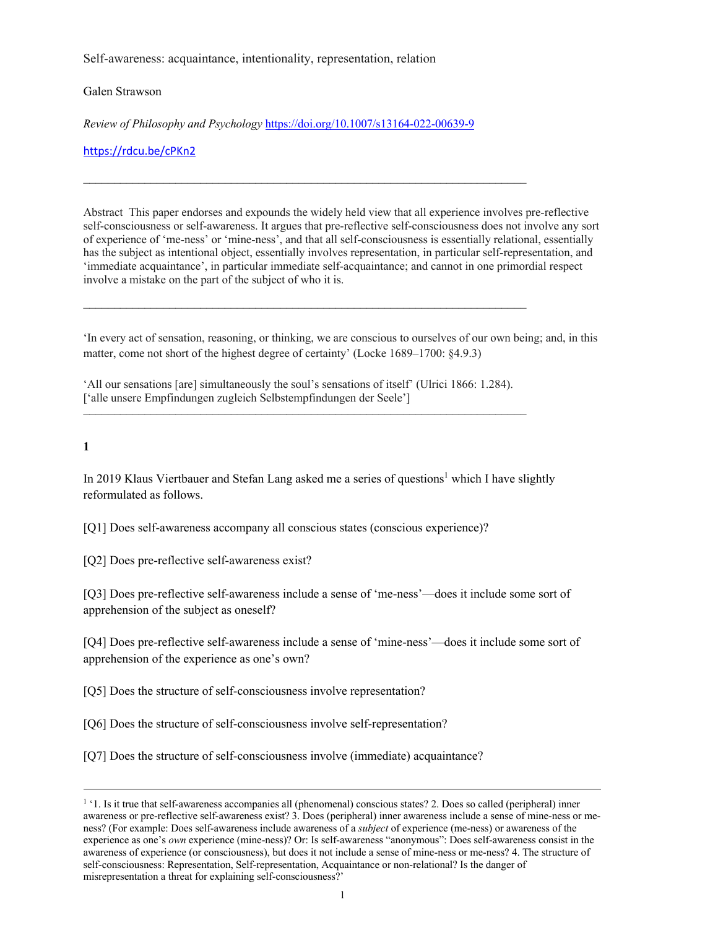Self-awareness: acquaintance, intentionality, representation, relation

Galen Strawson

*Review of Philosophy and Psychology* https://doi.org/10.1007/s13164-022-00639-9

––––––––––––––––––––––––––––––––––––––––––––––––––––––––––––––––––––––––

https://rdcu.be/cPKn2

Abstract This paper endorses and expounds the widely held view that all experience involves pre-reflective self-consciousness or self-awareness. It argues that pre-reflective self-consciousness does not involve any sort of experience of 'me-ness' or 'mine-ness', and that all self-consciousness is essentially relational, essentially has the subject as intentional object, essentially involves representation, in particular self-representation, and 'immediate acquaintance', in particular immediate self-acquaintance; and cannot in one primordial respect involve a mistake on the part of the subject of who it is.

'In every act of sensation, reasoning, or thinking, we are conscious to ourselves of our own being; and, in this matter, come not short of the highest degree of certainty' (Locke 1689–1700: §4.9.3)

'All our sensations [are] simultaneously the soul's sensations of itself' (Ulrici 1866: 1.284). ['alle unsere Empfindungen zugleich Selbstempfindungen der Seele']

––––––––––––––––––––––––––––––––––––––––––––––––––––––––––––––––––––––––

––––––––––––––––––––––––––––––––––––––––––––––––––––––––––––––––––––––––

**1**

In 2019 Klaus Viertbauer and Stefan Lang asked me a series of questions<sup>1</sup> which I have slightly reformulated as follows.

[Q1] Does self-awareness accompany all conscious states (conscious experience)?

[Q2] Does pre-reflective self-awareness exist?

[Q3] Does pre-reflective self-awareness include a sense of 'me-ness'—does it include some sort of apprehension of the subject as oneself?

[Q4] Does pre-reflective self-awareness include a sense of 'mine-ness'—does it include some sort of apprehension of the experience as one's own?

[Q5] Does the structure of self-consciousness involve representation?

[Q6] Does the structure of self-consciousness involve self-representation?

[Q7] Does the structure of self-consciousness involve (immediate) acquaintance?

<sup>&</sup>lt;sup>1</sup>. Is it true that self-awareness accompanies all (phenomenal) conscious states? 2. Does so called (peripheral) inner awareness or pre-reflective self-awareness exist? 3. Does (peripheral) inner awareness include a sense of mine-ness or meness? (For example: Does self-awareness include awareness of a *subject* of experience (me-ness) or awareness of the experience as one's *own* experience (mine-ness)? Or: Is self-awareness "anonymous": Does self-awareness consist in the awareness of experience (or consciousness), but does it not include a sense of mine-ness or me-ness? 4. The structure of self-consciousness: Representation, Self-representation, Acquaintance or non-relational? Is the danger of misrepresentation a threat for explaining self-consciousness?'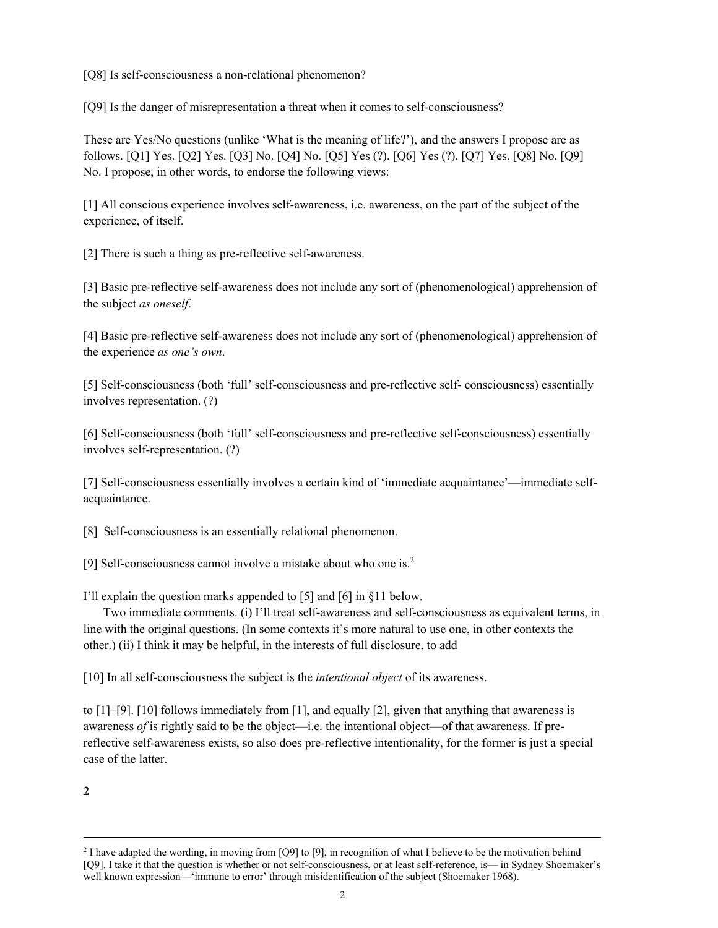[Q8] Is self-consciousness a non-relational phenomenon?

[Q9] Is the danger of misrepresentation a threat when it comes to self-consciousness?

These are Yes/No questions (unlike 'What is the meaning of life?'), and the answers I propose are as follows. [Q1] Yes. [Q2] Yes. [Q3] No. [Q4] No. [Q5] Yes (?). [Q6] Yes (?). [Q7] Yes. [Q8] No. [Q9] No. I propose, in other words, to endorse the following views:

[1] All conscious experience involves self-awareness, i.e. awareness, on the part of the subject of the experience, of itself.

[2] There is such a thing as pre-reflective self-awareness.

[3] Basic pre-reflective self-awareness does not include any sort of (phenomenological) apprehension of the subject *as oneself*.

[4] Basic pre-reflective self-awareness does not include any sort of (phenomenological) apprehension of the experience *as one's own*.

[5] Self-consciousness (both 'full' self-consciousness and pre-reflective self- consciousness) essentially involves representation. (?)

[6] Self-consciousness (both 'full' self-consciousness and pre-reflective self-consciousness) essentially involves self-representation. (?)

[7] Self-consciousness essentially involves a certain kind of 'immediate acquaintance'—immediate selfacquaintance.

[8] Self-consciousness is an essentially relational phenomenon.

[9] Self-consciousness cannot involve a mistake about who one is.<sup>2</sup>

I'll explain the question marks appended to [5] and [6] in §11 below.

Two immediate comments. (i) I'll treat self-awareness and self-consciousness as equivalent terms, in line with the original questions. (In some contexts it's more natural to use one, in other contexts the other.) (ii) I think it may be helpful, in the interests of full disclosure, to add

[10] In all self-consciousness the subject is the *intentional object* of its awareness.

to  $[1]-[9]$ .  $[10]$  follows immediately from  $[1]$ , and equally  $[2]$ , given that anything that awareness is awareness *of* is rightly said to be the object—i.e. the intentional object—of that awareness. If prereflective self-awareness exists, so also does pre-reflective intentionality, for the former is just a special case of the latter.

**2**

<sup>2</sup> I have adapted the wording, in moving from [Q9] to [9], in recognition of what I believe to be the motivation behind [Q9]. I take it that the question is whether or not self-consciousness, or at least self-reference, is— in Sydney Shoemaker's well known expression—'immune to error' through misidentification of the subject (Shoemaker 1968).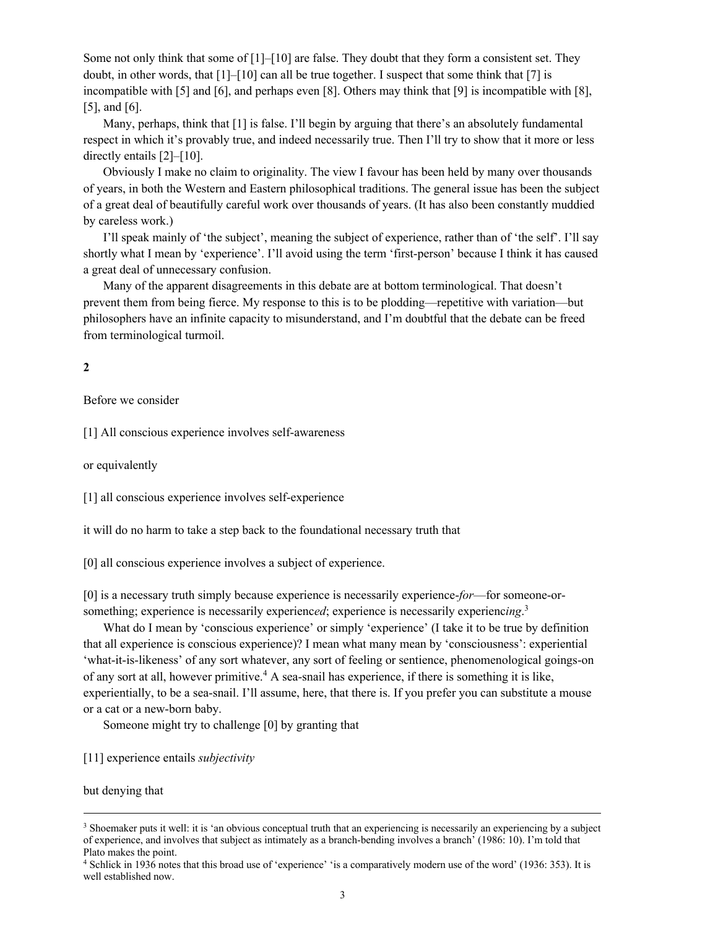Some not only think that some of  $[1]$ – $[10]$  are false. They doubt that they form a consistent set. They doubt, in other words, that [1]–[10] can all be true together. I suspect that some think that [7] is incompatible with [5] and [6], and perhaps even [8]. Others may think that [9] is incompatible with [8], [5], and [6].

Many, perhaps, think that [1] is false. I'll begin by arguing that there's an absolutely fundamental respect in which it's provably true, and indeed necessarily true. Then I'll try to show that it more or less directly entails [2]–[10].

Obviously I make no claim to originality. The view I favour has been held by many over thousands of years, in both the Western and Eastern philosophical traditions. The general issue has been the subject of a great deal of beautifully careful work over thousands of years. (It has also been constantly muddied by careless work.)

I'll speak mainly of 'the subject', meaning the subject of experience, rather than of 'the self'. I'll say shortly what I mean by 'experience'. I'll avoid using the term 'first-person' because I think it has caused a great deal of unnecessary confusion.

Many of the apparent disagreements in this debate are at bottom terminological. That doesn't prevent them from being fierce. My response to this is to be plodding—repetitive with variation—but philosophers have an infinite capacity to misunderstand, and I'm doubtful that the debate can be freed from terminological turmoil.

# **2**

Before we consider

[1] All conscious experience involves self-awareness

or equivalently

[1] all conscious experience involves self-experience

it will do no harm to take a step back to the foundational necessary truth that

[0] all conscious experience involves a subject of experience.

[0] is a necessary truth simply because experience is necessarily experience-*for*—for someone-orsomething; experience is necessarily experienc*ed*; experience is necessarily experienc*ing*. 3

What do I mean by 'conscious experience' or simply 'experience' (I take it to be true by definition that all experience is conscious experience)? I mean what many mean by 'consciousness': experiential 'what-it-is-likeness' of any sort whatever, any sort of feeling or sentience, phenomenological goings-on of any sort at all, however primitive.<sup>4</sup> A sea-snail has experience, if there is something it is like, experientially, to be a sea-snail. I'll assume, here, that there is. If you prefer you can substitute a mouse or a cat or a new-born baby.

Someone might try to challenge [0] by granting that

[11] experience entails *subjectivity*

but denying that

<sup>&</sup>lt;sup>3</sup> Shoemaker puts it well: it is 'an obvious conceptual truth that an experiencing is necessarily an experiencing by a subject of experience, and involves that subject as intimately as a branch-bending involves a branch' (1986: 10). I'm told that Plato makes the point.

<sup>4</sup> Schlick in 1936 notes that this broad use of 'experience' 'is a comparatively modern use of the word' (1936: 353). It is well established now.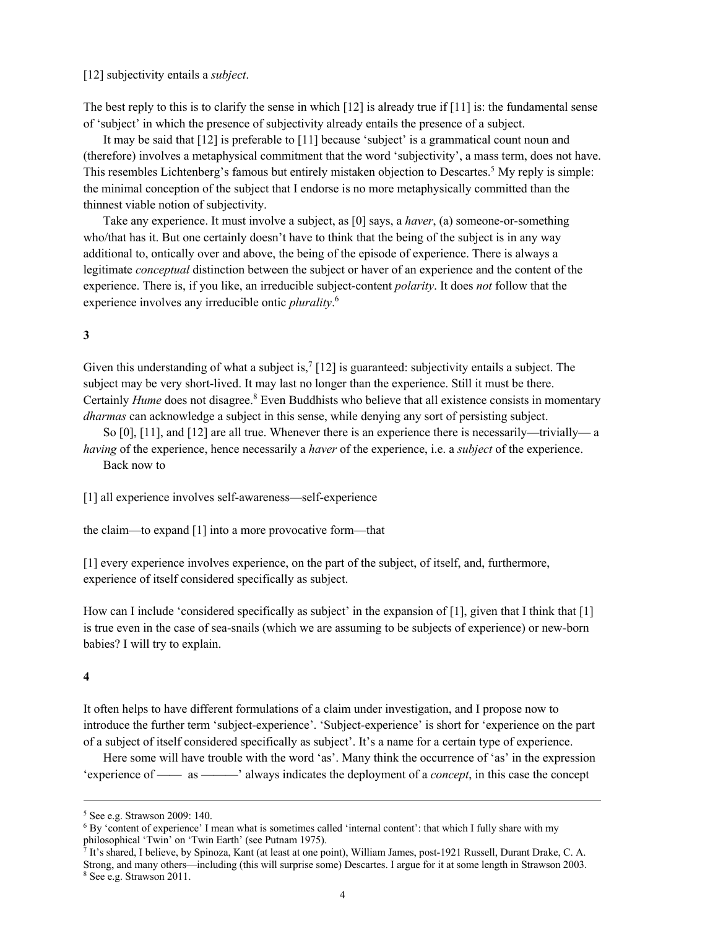[12] subjectivity entails a *subject*.

The best reply to this is to clarify the sense in which  $[12]$  is already true if  $[11]$  is: the fundamental sense of 'subject' in which the presence of subjectivity already entails the presence of a subject.

It may be said that [12] is preferable to [11] because 'subject' is a grammatical count noun and (therefore) involves a metaphysical commitment that the word 'subjectivity', a mass term, does not have. This resembles Lichtenberg's famous but entirely mistaken objection to Descartes.<sup>5</sup> My reply is simple: the minimal conception of the subject that I endorse is no more metaphysically committed than the thinnest viable notion of subjectivity.

Take any experience. It must involve a subject, as [0] says, a *haver*, (a) someone-or-something who/that has it. But one certainly doesn't have to think that the being of the subject is in any way additional to, ontically over and above, the being of the episode of experience. There is always a legitimate *conceptual* distinction between the subject or haver of an experience and the content of the experience. There is, if you like, an irreducible subject-content *polarity*. It does *not* follow that the experience involves any irreducible ontic *plurality*. 6

# **3**

Given this understanding of what a subject is,<sup>7</sup> [12] is guaranteed: subjectivity entails a subject. The subject may be very short-lived. It may last no longer than the experience. Still it must be there. Certainly *Hume* does not disagree.<sup>8</sup> Even Buddhists who believe that all existence consists in momentary *dharmas* can acknowledge a subject in this sense, while denying any sort of persisting subject.

So [0], [11], and [12] are all true. Whenever there is an experience there is necessarily—trivially— a *having* of the experience, hence necessarily a *haver* of the experience, i.e. a *subject* of the experience. Back now to

[1] all experience involves self-awareness—self-experience

the claim—to expand [1] into a more provocative form—that

[1] every experience involves experience, on the part of the subject, of itself, and, furthermore, experience of itself considered specifically as subject.

How can I include 'considered specifically as subject' in the expansion of [1], given that I think that [1] is true even in the case of sea-snails (which we are assuming to be subjects of experience) or new-born babies? I will try to explain.

## **4**

It often helps to have different formulations of a claim under investigation, and I propose now to introduce the further term 'subject-experience'. 'Subject-experience' is short for 'experience on the part of a subject of itself considered specifically as subject'. It's a name for a certain type of experience.

Here some will have trouble with the word 'as'. Many think the occurrence of 'as' in the expression 'experience of —— as ———' always indicates the deployment of a *concept*, in this case the concept

<sup>5</sup> See e.g. Strawson 2009: 140.

 $6$  By 'content of experience' I mean what is sometimes called 'internal content': that which I fully share with my philosophical 'Twin' on 'Twin Earth' (see Putnam 1975).

<sup>7</sup> It's shared, I believe, by Spinoza, Kant (at least at one point), William James, post-1921 Russell, Durant Drake, C. A. Strong, and many others—including (this will surprise some) Descartes. I argue for it at some length in Strawson 2003. <sup>8</sup> See e.g. Strawson 2011.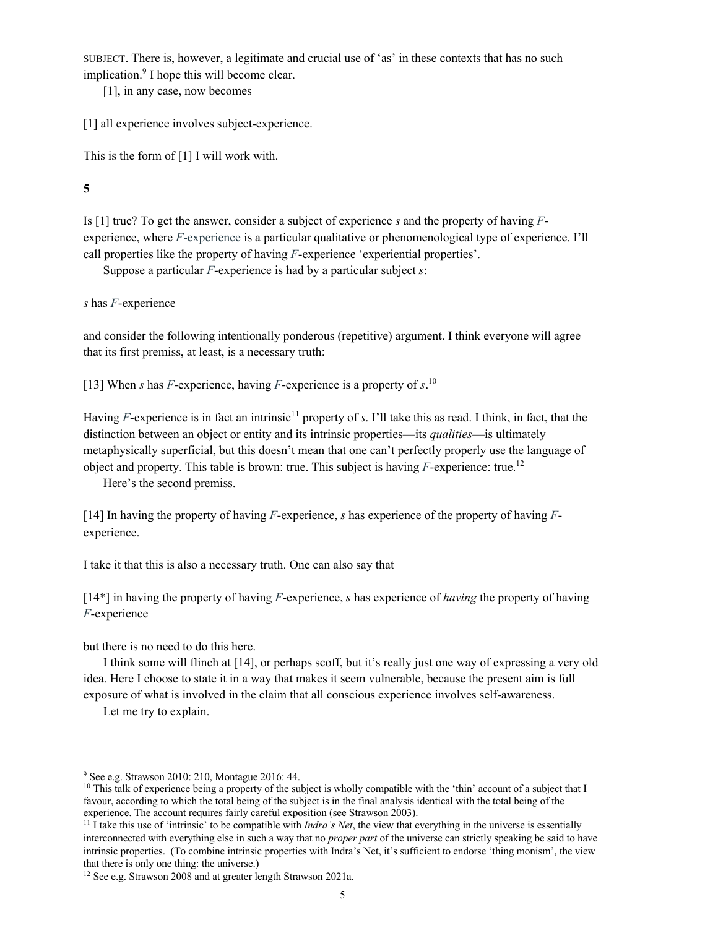SUBJECT. There is, however, a legitimate and crucial use of 'as' in these contexts that has no such implication. <sup>9</sup> I hope this will become clear.

[1], in any case, now becomes

[1] all experience involves subject-experience.

This is the form of [1] I will work with.

**5**

Is [1] true? To get the answer, consider a subject of experience *s* and the property of having *F*experience, where *F*-experience is a particular qualitative or phenomenological type of experience. I'll call properties like the property of having *F*-experience 'experiential properties'.

Suppose a particular *F*-experience is had by a particular subject *s*:

*s* has *F*-experience

and consider the following intentionally ponderous (repetitive) argument. I think everyone will agree that its first premiss, at least, is a necessary truth:

[13] When *s* has *F*-experience, having *F*-experience is a property of *s*. 10

Having *F*-experience is in fact an intrinsic<sup>11</sup> property of *s*. I'll take this as read. I think, in fact, that the distinction between an object or entity and its intrinsic properties—its *qualities*—is ultimately metaphysically superficial, but this doesn't mean that one can't perfectly properly use the language of object and property. This table is brown: true. This subject is having  $F$ -experience: true.<sup>12</sup>

Here's the second premiss.

[14] In having the property of having *F*-experience, *s* has experience of the property of having *F*experience.

I take it that this is also a necessary truth. One can also say that

[14\*] in having the property of having *F*-experience, *s* has experience of *having* the property of having *F*-experience

but there is no need to do this here.

I think some will flinch at [14], or perhaps scoff, but it's really just one way of expressing a very old idea. Here I choose to state it in a way that makes it seem vulnerable, because the present aim is full exposure of what is involved in the claim that all conscious experience involves self-awareness.

Let me try to explain.

<sup>9</sup> See e.g. Strawson 2010: 210, Montague 2016: 44.

 $10$  This talk of experience being a property of the subject is wholly compatible with the 'thin' account of a subject that I favour, according to which the total being of the subject is in the final analysis identical with the total being of the experience. The account requires fairly careful exposition (see Strawson 2003).

<sup>&</sup>lt;sup>11</sup> I take this use of 'intrinsic' to be compatible with *Indra's Net*, the view that everything in the universe is essentially interconnected with everything else in such a way that no *proper part* of the universe can strictly speaking be said to have intrinsic properties. (To combine intrinsic properties with Indra's Net, it's sufficient to endorse 'thing monism', the view that there is only one thing: the universe.)

<sup>&</sup>lt;sup>12</sup> See e.g. Strawson 2008 and at greater length Strawson 2021a.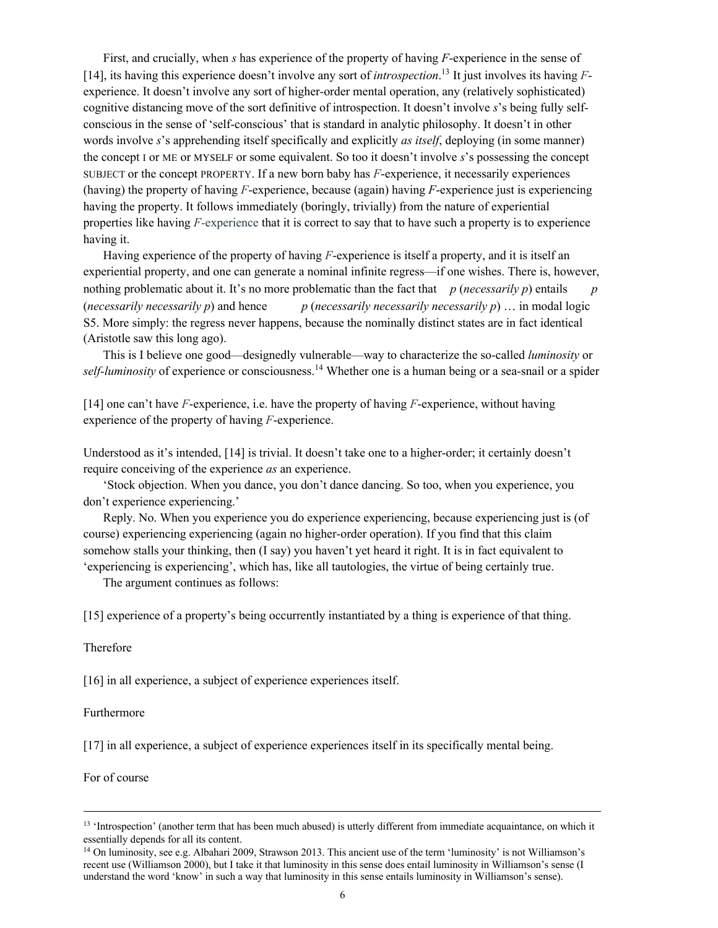First, and crucially, when *s* has experience of the property of having *F*-experience in the sense of [14], its having this experience doesn't involve any sort of *introspection*. <sup>13</sup> It just involves its having *F*experience. It doesn't involve any sort of higher-order mental operation, any (relatively sophisticated) cognitive distancing move of the sort definitive of introspection. It doesn't involve *s*'s being fully selfconscious in the sense of 'self-conscious' that is standard in analytic philosophy. It doesn't in other words involve *s*'s apprehending itself specifically and explicitly *as itself*, deploying (in some manner) the concept I or ME or MYSELF or some equivalent. So too it doesn't involve *s*'s possessing the concept SUBJECT or the concept PROPERTY. If a new born baby has *F*-experience, it necessarily experiences (having) the property of having *F*-experience, because (again) having *F*-experience just is experiencing having the property. It follows immediately (boringly, trivially) from the nature of experiential properties like having *F-*experience that it is correct to say that to have such a property is to experience having it.

Having experience of the property of having *F*-experience is itself a property, and it is itself an experiential property, and one can generate a nominal infinite regress—if one wishes. There is, however, nothing problematic about it. It's no more problematic than the fact that  $p$  (*necessarily p*) entails (*necessarily necessarily p*) and hence *p* (*necessarily necessarily necessarily p*) … in modal logic S5. More simply: the regress never happens, because the nominally distinct states are in fact identical (Aristotle saw this long ago).

This is I believe one good—designedly vulnerable—way to characterize the so-called *luminosity* or self-luminosity of experience or consciousness.<sup>14</sup> Whether one is a human being or a sea-snail or a spider

[14] one can't have *F*-experience, i.e. have the property of having *F*-experience, without having experience of the property of having *F*-experience.

Understood as it's intended, [14] is trivial. It doesn't take one to a higher-order; it certainly doesn't require conceiving of the experience *as* an experience.

'Stock objection. When you dance, you don't dance dancing. So too, when you experience, you don't experience experiencing.'

Reply. No. When you experience you do experience experiencing, because experiencing just is (of course) experiencing experiencing (again no higher-order operation). If you find that this claim somehow stalls your thinking, then (I say) you haven't yet heard it right. It is in fact equivalent to 'experiencing is experiencing', which has, like all tautologies, the virtue of being certainly true.

The argument continues as follows:

[15] experience of a property's being occurrently instantiated by a thing is experience of that thing.

### Therefore

[16] in all experience, a subject of experience experiences itself.

### Furthermore

[17] in all experience, a subject of experience experiences itself in its specifically mental being.

For of course

<sup>&</sup>lt;sup>13</sup> 'Introspection' (another term that has been much abused) is utterly different from immediate acquaintance, on which it essentially depends for all its content.

<sup>&</sup>lt;sup>14</sup> On luminosity, see e.g. Albahari 2009, Strawson 2013. This ancient use of the term 'luminosity' is not Williamson's recent use (Williamson 2000), but I take it that luminosity in this sense does entail luminosity in Williamson's sense (I understand the word 'know' in such a way that luminosity in this sense entails luminosity in Williamson's sense).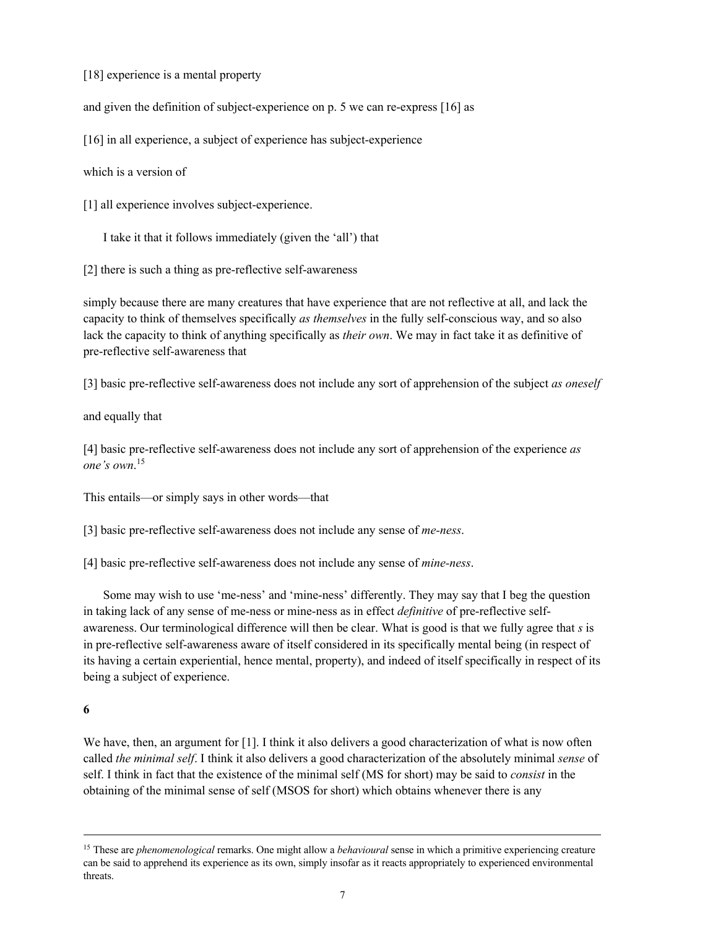[18] experience is a mental property

and given the definition of subject-experience on p. 5 we can re-express [16] as

[16] in all experience, a subject of experience has subject-experience

which is a version of

[1] all experience involves subject-experience.

I take it that it follows immediately (given the 'all') that

[2] there is such a thing as pre-reflective self-awareness

simply because there are many creatures that have experience that are not reflective at all, and lack the capacity to think of themselves specifically *as themselves* in the fully self-conscious way, and so also lack the capacity to think of anything specifically as *their own*. We may in fact take it as definitive of pre-reflective self-awareness that

[3] basic pre-reflective self-awareness does not include any sort of apprehension of the subject *as oneself*

and equally that

[4] basic pre-reflective self-awareness does not include any sort of apprehension of the experience *as one's own*. 15

This entails—or simply says in other words—that

[3] basic pre-reflective self-awareness does not include any sense of *me-ness*.

[4] basic pre-reflective self-awareness does not include any sense of *mine-ness*.

Some may wish to use 'me-ness' and 'mine-ness' differently. They may say that I beg the question in taking lack of any sense of me-ness or mine-ness as in effect *definitive* of pre-reflective selfawareness. Our terminological difference will then be clear. What is good is that we fully agree that *s* is in pre-reflective self-awareness aware of itself considered in its specifically mental being (in respect of its having a certain experiential, hence mental, property), and indeed of itself specifically in respect of its being a subject of experience.

# **6**

We have, then, an argument for [1]. I think it also delivers a good characterization of what is now often called *the minimal self*. I think it also delivers a good characterization of the absolutely minimal *sense* of self. I think in fact that the existence of the minimal self (MS for short) may be said to *consist* in the obtaining of the minimal sense of self (MSOS for short) which obtains whenever there is any

<sup>15</sup> These are *phenomenological* remarks. One might allow a *behavioural* sense in which a primitive experiencing creature can be said to apprehend its experience as its own, simply insofar as it reacts appropriately to experienced environmental threats.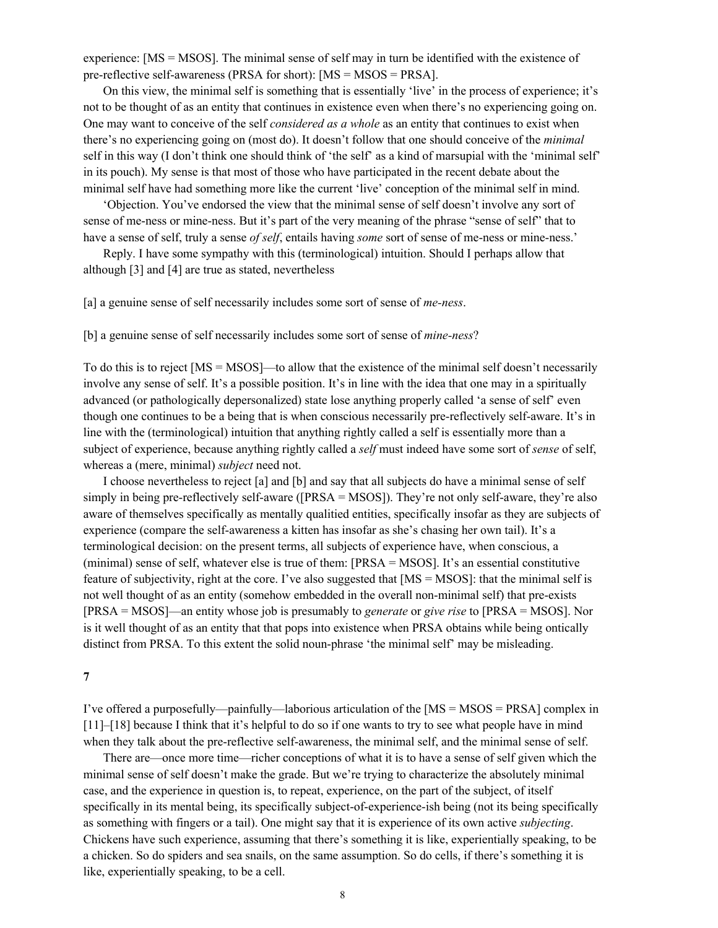experience: [MS = MSOS]. The minimal sense of self may in turn be identified with the existence of pre-reflective self-awareness (PRSA for short): [MS = MSOS = PRSA].

On this view, the minimal self is something that is essentially 'live' in the process of experience; it's not to be thought of as an entity that continues in existence even when there's no experiencing going on. One may want to conceive of the self *considered as a whole* as an entity that continues to exist when there's no experiencing going on (most do). It doesn't follow that one should conceive of the *minimal* self in this way (I don't think one should think of 'the self' as a kind of marsupial with the 'minimal self' in its pouch). My sense is that most of those who have participated in the recent debate about the minimal self have had something more like the current 'live' conception of the minimal self in mind.

'Objection. You've endorsed the view that the minimal sense of self doesn't involve any sort of sense of me-ness or mine-ness. But it's part of the very meaning of the phrase "sense of self" that to have a sense of self, truly a sense *of self*, entails having *some* sort of sense of me-ness or mine-ness.'

Reply. I have some sympathy with this (terminological) intuition. Should I perhaps allow that although [3] and [4] are true as stated, nevertheless

[a] a genuine sense of self necessarily includes some sort of sense of *me-ness*.

[b] a genuine sense of self necessarily includes some sort of sense of *mine-ness*?

To do this is to reject [MS = MSOS]—to allow that the existence of the minimal self doesn't necessarily involve any sense of self. It's a possible position. It's in line with the idea that one may in a spiritually advanced (or pathologically depersonalized) state lose anything properly called 'a sense of self' even though one continues to be a being that is when conscious necessarily pre-reflectively self-aware. It's in line with the (terminological) intuition that anything rightly called a self is essentially more than a subject of experience, because anything rightly called a *self* must indeed have some sort of *sense* of self, whereas a (mere, minimal) *subject* need not.

I choose nevertheless to reject [a] and [b] and say that all subjects do have a minimal sense of self simply in being pre-reflectively self-aware ([PRSA = MSOS]). They're not only self-aware, they're also aware of themselves specifically as mentally qualitied entities, specifically insofar as they are subjects of experience (compare the self-awareness a kitten has insofar as she's chasing her own tail). It's a terminological decision: on the present terms, all subjects of experience have, when conscious, a (minimal) sense of self, whatever else is true of them: [PRSA = MSOS]. It's an essential constitutive feature of subjectivity, right at the core. I've also suggested that [MS = MSOS]: that the minimal self is not well thought of as an entity (somehow embedded in the overall non-minimal self) that pre-exists [PRSA = MSOS]—an entity whose job is presumably to *generate* or *give rise* to [PRSA = MSOS]. Nor is it well thought of as an entity that that pops into existence when PRSA obtains while being ontically distinct from PRSA. To this extent the solid noun-phrase 'the minimal self' may be misleading.

**7**

I've offered a purposefully—painfully—laborious articulation of the [MS = MSOS = PRSA] complex in [11]–[18] because I think that it's helpful to do so if one wants to try to see what people have in mind when they talk about the pre-reflective self-awareness, the minimal self, and the minimal sense of self.

There are—once more time—richer conceptions of what it is to have a sense of self given which the minimal sense of self doesn't make the grade. But we're trying to characterize the absolutely minimal case, and the experience in question is, to repeat, experience, on the part of the subject, of itself specifically in its mental being, its specifically subject-of-experience-ish being (not its being specifically as something with fingers or a tail). One might say that it is experience of its own active *subjecting*. Chickens have such experience, assuming that there's something it is like, experientially speaking, to be a chicken. So do spiders and sea snails, on the same assumption. So do cells, if there's something it is like, experientially speaking, to be a cell.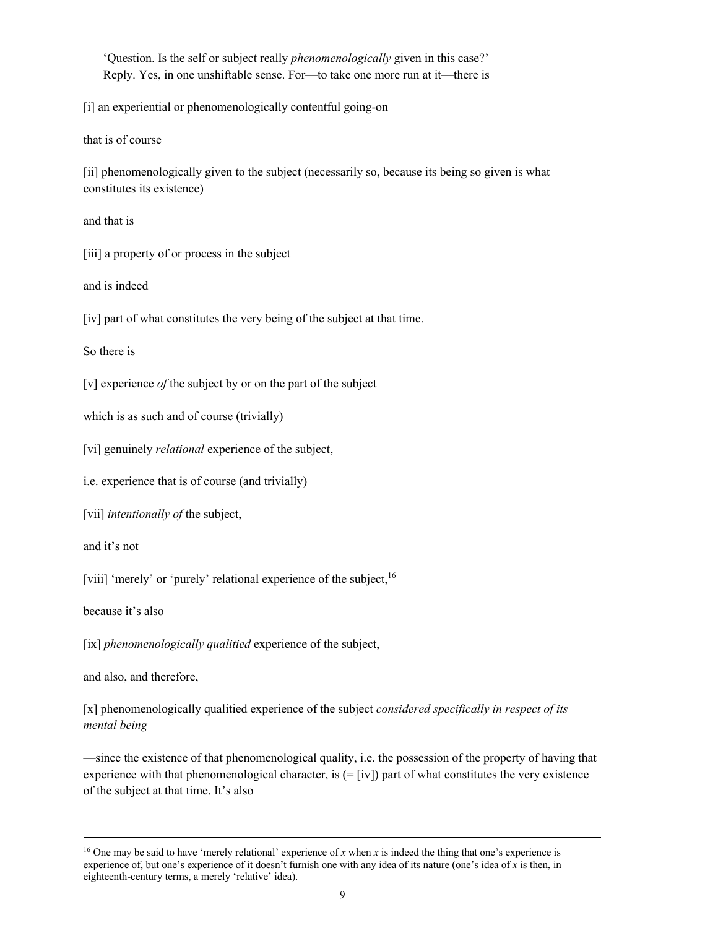'Question. Is the self or subject really *phenomenologically* given in this case?' Reply. Yes, in one unshiftable sense. For—to take one more run at it—there is

[i] an experiential or phenomenologically contentful going-on

that is of course

[ii] phenomenologically given to the subject (necessarily so, because its being so given is what constitutes its existence)

and that is

[iii] a property of or process in the subject

and is indeed

[iv] part of what constitutes the very being of the subject at that time.

So there is

[v] experience *of* the subject by or on the part of the subject

which is as such and of course (trivially)

[vi] genuinely *relational* experience of the subject,

i.e. experience that is of course (and trivially)

[vii] *intentionally of* the subject,

and it's not

[viii] 'merely' or 'purely' relational experience of the subject,<sup>16</sup>

because it's also

[ix] *phenomenologically qualitied* experience of the subject,

and also, and therefore,

[x] phenomenologically qualitied experience of the subject *considered specifically in respect of its mental being*

—since the existence of that phenomenological quality, i.e. the possession of the property of having that experience with that phenomenological character, is (= [iv]) part of what constitutes the very existence of the subject at that time. It's also

<sup>&</sup>lt;sup>16</sup> One may be said to have 'merely relational' experience of *x* when *x* is indeed the thing that one's experience is experience of, but one's experience of it doesn't furnish one with any idea of its nature (one's idea of *x* is then, in eighteenth-century terms, a merely 'relative' idea).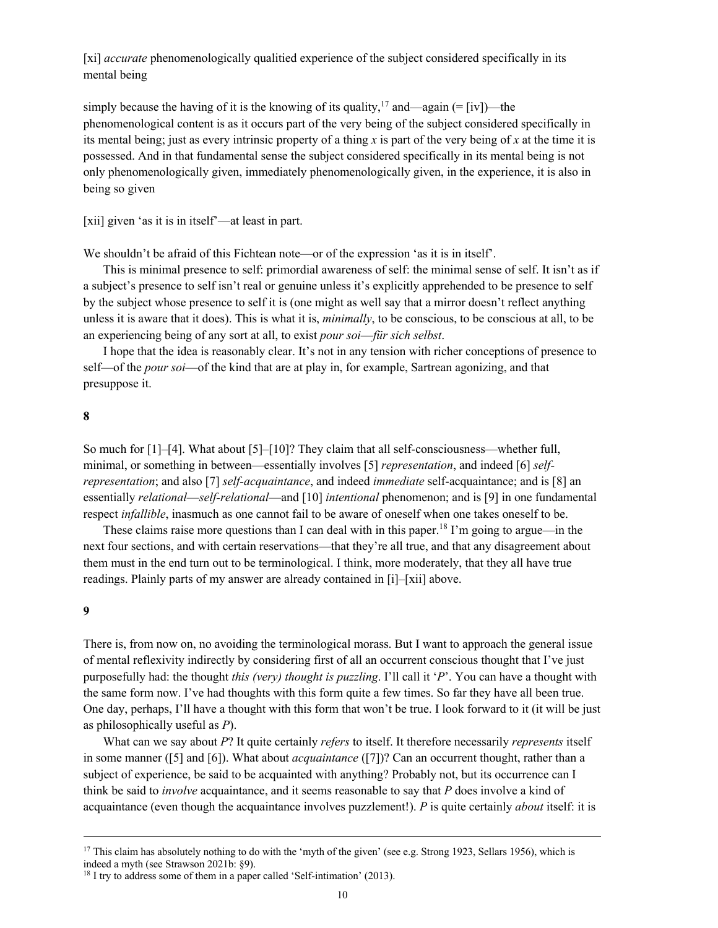[xi] *accurate* phenomenologically qualitied experience of the subject considered specifically in its mental being

simply because the having of it is the knowing of its quality,<sup>17</sup> and—again  $(=[iv])$ —the phenomenological content is as it occurs part of the very being of the subject considered specifically in its mental being; just as every intrinsic property of a thing *x* is part of the very being of *x* at the time it is possessed. And in that fundamental sense the subject considered specifically in its mental being is not only phenomenologically given, immediately phenomenologically given, in the experience, it is also in being so given

[xii] given 'as it is in itself'—at least in part.

We shouldn't be afraid of this Fichtean note—or of the expression 'as it is in itself'.

This is minimal presence to self: primordial awareness of self: the minimal sense of self. It isn't as if a subject's presence to self isn't real or genuine unless it's explicitly apprehended to be presence to self by the subject whose presence to self it is (one might as well say that a mirror doesn't reflect anything unless it is aware that it does). This is what it is, *minimally*, to be conscious, to be conscious at all, to be an experiencing being of any sort at all, to exist *pour soi*—*für sich selbst*.

I hope that the idea is reasonably clear. It's not in any tension with richer conceptions of presence to self—of the *pour soi*—of the kind that are at play in, for example, Sartrean agonizing, and that presuppose it.

#### **8**

So much for [1]–[4]. What about [5]–[10]? They claim that all self-consciousness—whether full, minimal, or something in between—essentially involves [5] *representation*, and indeed [6] *selfrepresentation*; and also [7] *self-acquaintance*, and indeed *immediate* self-acquaintance; and is [8] an essentially *relational*—*self-relational*—and [10] *intentional* phenomenon; and is [9] in one fundamental respect *infallible*, inasmuch as one cannot fail to be aware of oneself when one takes oneself to be.

These claims raise more questions than I can deal with in this paper.<sup>18</sup> I'm going to argue—in the next four sections, and with certain reservations—that they're all true, and that any disagreement about them must in the end turn out to be terminological. I think, more moderately, that they all have true readings. Plainly parts of my answer are already contained in [i]–[xii] above.

#### **9**

There is, from now on, no avoiding the terminological morass. But I want to approach the general issue of mental reflexivity indirectly by considering first of all an occurrent conscious thought that I've just purposefully had: the thought *this (very) thought is puzzling*. I'll call it '*P*'. You can have a thought with the same form now. I've had thoughts with this form quite a few times. So far they have all been true. One day, perhaps, I'll have a thought with this form that won't be true. I look forward to it (it will be just as philosophically useful as *P*).

What can we say about *P*? It quite certainly *refers* to itself. It therefore necessarily *represents* itself in some manner ([5] and [6]). What about *acquaintance* ([7])? Can an occurrent thought, rather than a subject of experience, be said to be acquainted with anything? Probably not, but its occurrence can I think be said to *involve* acquaintance, and it seems reasonable to say that *P* does involve a kind of acquaintance (even though the acquaintance involves puzzlement!). *P* is quite certainly *about* itself: it is

<sup>&</sup>lt;sup>17</sup> This claim has absolutely nothing to do with the 'myth of the given' (see e.g. Strong 1923, Sellars 1956), which is indeed a myth (see Strawson 2021b: §9).

 $18$  I try to address some of them in a paper called 'Self-intimation' (2013).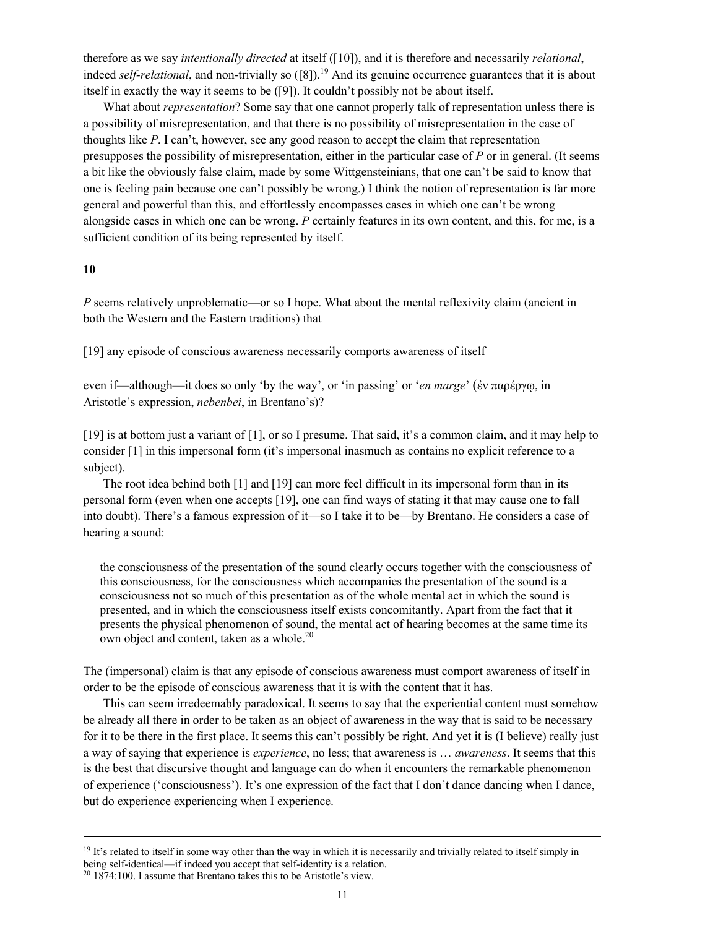therefore as we say *intentionally directed* at itself ([10]), and it is therefore and necessarily *relational*, indeed *self-relational*, and non-trivially so ([8]).<sup>19</sup> And its genuine occurrence guarantees that it is about itself in exactly the way it seems to be ([9]). It couldn't possibly not be about itself.

What about *representation*? Some say that one cannot properly talk of representation unless there is a possibility of misrepresentation, and that there is no possibility of misrepresentation in the case of thoughts like *P*. I can't, however, see any good reason to accept the claim that representation presupposes the possibility of misrepresentation, either in the particular case of *P* or in general. (It seems a bit like the obviously false claim, made by some Wittgensteinians, that one can't be said to know that one is feeling pain because one can't possibly be wrong.) I think the notion of representation is far more general and powerful than this, and effortlessly encompasses cases in which one can't be wrong alongside cases in which one can be wrong. *P* certainly features in its own content, and this, for me, is a sufficient condition of its being represented by itself.

## **10**

*P* seems relatively unproblematic—or so I hope. What about the mental reflexivity claim (ancient in both the Western and the Eastern traditions) that

[19] any episode of conscious awareness necessarily comports awareness of itself

even if—although—it does so only 'by the way', or 'in passing' or '*en marge*' (ἐν παρέργῳ, in Aristotle's expression, *nebenbei*, in Brentano's)?

[19] is at bottom just a variant of [1], or so I presume. That said, it's a common claim, and it may help to consider [1] in this impersonal form (it's impersonal inasmuch as contains no explicit reference to a subject).

The root idea behind both [1] and [19] can more feel difficult in its impersonal form than in its personal form (even when one accepts [19], one can find ways of stating it that may cause one to fall into doubt). There's a famous expression of it—so I take it to be—by Brentano. He considers a case of hearing a sound:

the consciousness of the presentation of the sound clearly occurs together with the consciousness of this consciousness, for the consciousness which accompanies the presentation of the sound is a consciousness not so much of this presentation as of the whole mental act in which the sound is presented, and in which the consciousness itself exists concomitantly. Apart from the fact that it presents the physical phenomenon of sound, the mental act of hearing becomes at the same time its own object and content, taken as a whole.<sup>20</sup>

The (impersonal) claim is that any episode of conscious awareness must comport awareness of itself in order to be the episode of conscious awareness that it is with the content that it has.

This can seem irredeemably paradoxical. It seems to say that the experiential content must somehow be already all there in order to be taken as an object of awareness in the way that is said to be necessary for it to be there in the first place. It seems this can't possibly be right. And yet it is (I believe) really just a way of saying that experience is *experience*, no less; that awareness is … *awareness*. It seems that this is the best that discursive thought and language can do when it encounters the remarkable phenomenon of experience ('consciousness'). It's one expression of the fact that I don't dance dancing when I dance, but do experience experiencing when I experience.

 $19$  It's related to itself in some way other than the way in which it is necessarily and trivially related to itself simply in being self-identical—if indeed you accept that self-identity is a relation.  $20$  1874:100. I assume that Brentano takes this to be Aristotle's view.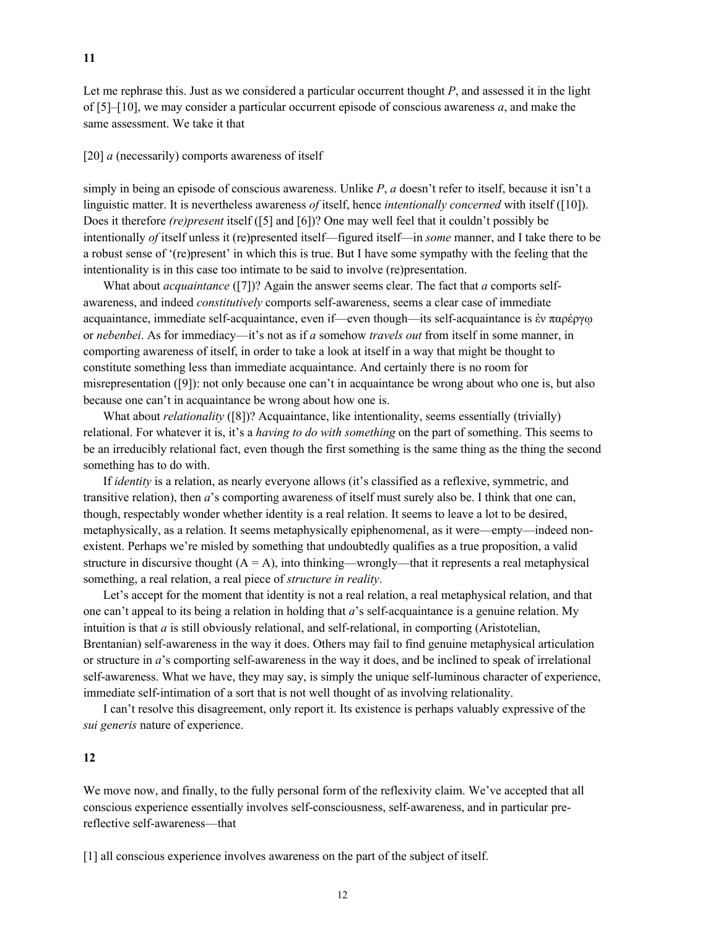Let me rephrase this. Just as we considered a particular occurrent thought *P*, and assessed it in the light of [5]–[10], we may consider a particular occurrent episode of conscious awareness *a*, and make the same assessment. We take it that

## [20] *a* (necessarily) comports awareness of itself

simply in being an episode of conscious awareness. Unlike *P*, *a* doesn't refer to itself, because it isn't a linguistic matter. It is nevertheless awareness *of* itself, hence *intentionally concerned* with itself ([10]). Does it therefore *(re)present* itself ([5] and [6])? One may well feel that it couldn't possibly be intentionally *of* itself unless it (re)presented itself—figured itself—in *some* manner, and I take there to be a robust sense of '(re)present' in which this is true. But I have some sympathy with the feeling that the intentionality is in this case too intimate to be said to involve (re)presentation.

What about *acquaintance* ([7])? Again the answer seems clear. The fact that *a* comports selfawareness, and indeed *constitutively* comports self-awareness, seems a clear case of immediate acquaintance, immediate self-acquaintance, even if—even though—its self-acquaintance is ἐν παρέργῳ or *nebenbei*. As for immediacy—it's not as if *a* somehow *travels out* from itself in some manner, in comporting awareness of itself, in order to take a look at itself in a way that might be thought to constitute something less than immediate acquaintance. And certainly there is no room for misrepresentation ([9]): not only because one can't in acquaintance be wrong about who one is, but also because one can't in acquaintance be wrong about how one is.

What about *relationality* ([8])? Acquaintance, like intentionality, seems essentially (trivially) relational. For whatever it is, it's a *having to do with something* on the part of something. This seems to be an irreducibly relational fact, even though the first something is the same thing as the thing the second something has to do with.

If *identity* is a relation, as nearly everyone allows (it's classified as a reflexive, symmetric, and transitive relation), then *a*'s comporting awareness of itself must surely also be. I think that one can, though, respectably wonder whether identity is a real relation. It seems to leave a lot to be desired, metaphysically, as a relation. It seems metaphysically epiphenomenal, as it were—empty—indeed nonexistent. Perhaps we're misled by something that undoubtedly qualifies as a true proposition, a valid structure in discursive thought  $(A = A)$ , into thinking—wrongly—that it represents a real metaphysical something, a real relation, a real piece of *structure in reality*.

Let's accept for the moment that identity is not a real relation, a real metaphysical relation, and that one can't appeal to its being a relation in holding that *a*'s self-acquaintance is a genuine relation. My intuition is that *a* is still obviously relational, and self-relational, in comporting (Aristotelian, Brentanian) self-awareness in the way it does. Others may fail to find genuine metaphysical articulation or structure in *a*'s comporting self-awareness in the way it does, and be inclined to speak of irrelational self-awareness. What we have, they may say, is simply the unique self-luminous character of experience, immediate self-intimation of a sort that is not well thought of as involving relationality.

I can't resolve this disagreement, only report it. Its existence is perhaps valuably expressive of the *sui generis* nature of experience.

# **12**

We move now, and finally, to the fully personal form of the reflexivity claim. We've accepted that all conscious experience essentially involves self-consciousness, self-awareness, and in particular prereflective self-awareness—that

[1] all conscious experience involves awareness on the part of the subject of itself.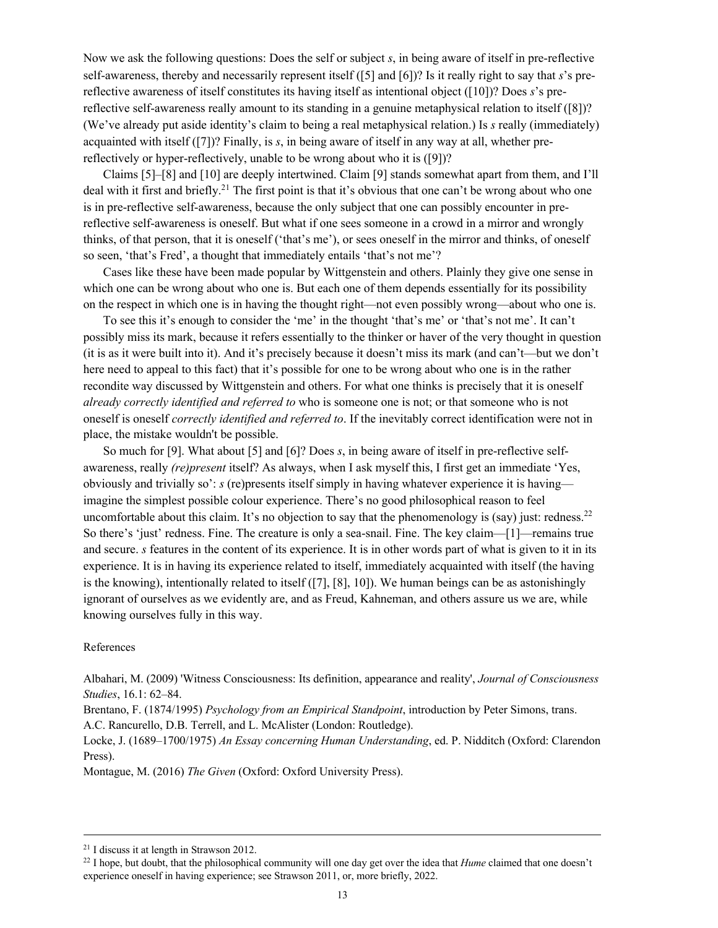Now we ask the following questions: Does the self or subject *s*, in being aware of itself in pre-reflective self-awareness, thereby and necessarily represent itself ([5] and [6])? Is it really right to say that *s*'s prereflective awareness of itself constitutes its having itself as intentional object ([10])? Does *s*'s prereflective self-awareness really amount to its standing in a genuine metaphysical relation to itself ([8])? (We've already put aside identity's claim to being a real metaphysical relation.) Is *s* really (immediately) acquainted with itself ([7])? Finally, is *s*, in being aware of itself in any way at all, whether prereflectively or hyper-reflectively, unable to be wrong about who it is ([9])?

Claims [5]–[8] and [10] are deeply intertwined. Claim [9] stands somewhat apart from them, and I'll deal with it first and briefly.<sup>21</sup> The first point is that it's obvious that one can't be wrong about who one is in pre-reflective self-awareness, because the only subject that one can possibly encounter in prereflective self-awareness is oneself. But what if one sees someone in a crowd in a mirror and wrongly thinks, of that person, that it is oneself ('that's me'), or sees oneself in the mirror and thinks, of oneself so seen, 'that's Fred', a thought that immediately entails 'that's not me'?

Cases like these have been made popular by Wittgenstein and others. Plainly they give one sense in which one can be wrong about who one is. But each one of them depends essentially for its possibility on the respect in which one is in having the thought right—not even possibly wrong—about who one is.

To see this it's enough to consider the 'me' in the thought 'that's me' or 'that's not me'. It can't possibly miss its mark, because it refers essentially to the thinker or haver of the very thought in question (it is as it were built into it). And it's precisely because it doesn't miss its mark (and can't—but we don't here need to appeal to this fact) that it's possible for one to be wrong about who one is in the rather recondite way discussed by Wittgenstein and others. For what one thinks is precisely that it is oneself *already correctly identified and referred to* who is someone one is not; or that someone who is not oneself is oneself *correctly identified and referred to*. If the inevitably correct identification were not in place, the mistake wouldn't be possible.

So much for [9]. What about [5] and [6]? Does *s*, in being aware of itself in pre-reflective selfawareness, really *(re)present* itself? As always, when I ask myself this, I first get an immediate 'Yes, obviously and trivially so': *s* (re)presents itself simply in having whatever experience it is having imagine the simplest possible colour experience. There's no good philosophical reason to feel uncomfortable about this claim. It's no objection to say that the phenomenology is (say) just: redness.<sup>22</sup> So there's 'just' redness. Fine. The creature is only a sea-snail. Fine. The key claim—[1]—remains true and secure. *s* features in the content of its experience. It is in other words part of what is given to it in its experience. It is in having its experience related to itself, immediately acquainted with itself (the having is the knowing), intentionally related to itself ([7], [8], 10]). We human beings can be as astonishingly ignorant of ourselves as we evidently are, and as Freud, Kahneman, and others assure us we are, while knowing ourselves fully in this way.

#### References

Albahari, M. (2009) 'Witness Consciousness: Its definition, appearance and reality', *Journal of Consciousness Studies*, 16.1: 62–84.

Brentano, F. (1874/1995) *Psychology from an Empirical Standpoint*, introduction by Peter Simons, trans. A.C. Rancurello, D.B. Terrell, and L. McAlister (London: Routledge).

Locke, J. (1689–1700/1975) *An Essay concerning Human Understanding*, ed. P. Nidditch (Oxford: Clarendon Press).

Montague, M. (2016) *The Given* (Oxford: Oxford University Press).

<sup>21</sup> I discuss it at length in Strawson 2012.

<sup>22</sup> I hope, but doubt, that the philosophical community will one day get over the idea that *Hume* claimed that one doesn't experience oneself in having experience; see Strawson 2011, or, more briefly, 2022.